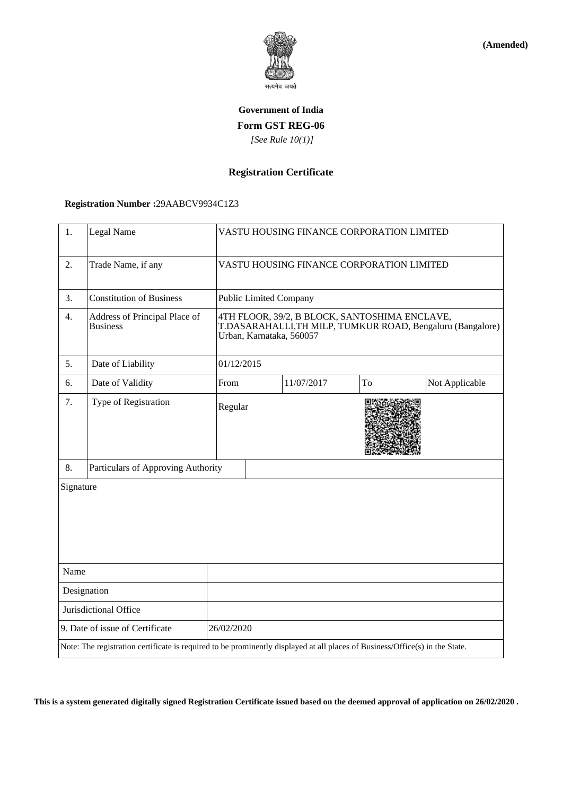

**(Amended)**

# **Government of India Form GST REG-06**  *[See Rule 10(1)]*

### **Registration Certificate**

#### **Registration Number :**29AABCV9934C1Z3

| 1.                                                                                                                           | Legal Name                                       |                                                                                                                                         | VASTU HOUSING FINANCE CORPORATION LIMITED |            |    |                |  |
|------------------------------------------------------------------------------------------------------------------------------|--------------------------------------------------|-----------------------------------------------------------------------------------------------------------------------------------------|-------------------------------------------|------------|----|----------------|--|
| $\overline{2}$ .                                                                                                             | Trade Name, if any                               | VASTU HOUSING FINANCE CORPORATION LIMITED                                                                                               |                                           |            |    |                |  |
| 3.                                                                                                                           | <b>Constitution of Business</b>                  |                                                                                                                                         | Public Limited Company                    |            |    |                |  |
| 4.                                                                                                                           | Address of Principal Place of<br><b>Business</b> | 4TH FLOOR, 39/2, B BLOCK, SANTOSHIMA ENCLAVE,<br>T.DASARAHALLI, TH MILP, TUMKUR ROAD, Bengaluru (Bangalore)<br>Urban, Karnataka, 560057 |                                           |            |    |                |  |
| 5.                                                                                                                           | Date of Liability                                |                                                                                                                                         | 01/12/2015                                |            |    |                |  |
| 6.                                                                                                                           | Date of Validity                                 | From                                                                                                                                    |                                           | 11/07/2017 | To | Not Applicable |  |
| 7.                                                                                                                           | Type of Registration                             | Regular                                                                                                                                 |                                           |            |    |                |  |
| 8.                                                                                                                           | Particulars of Approving Authority               |                                                                                                                                         |                                           |            |    |                |  |
| Signature                                                                                                                    |                                                  |                                                                                                                                         |                                           |            |    |                |  |
| Name                                                                                                                         |                                                  |                                                                                                                                         |                                           |            |    |                |  |
| Designation                                                                                                                  |                                                  |                                                                                                                                         |                                           |            |    |                |  |
| Jurisdictional Office                                                                                                        |                                                  |                                                                                                                                         |                                           |            |    |                |  |
| 9. Date of issue of Certificate                                                                                              |                                                  | 26/02/2020                                                                                                                              |                                           |            |    |                |  |
| Note: The registration certificate is required to be prominently displayed at all places of Business/Office(s) in the State. |                                                  |                                                                                                                                         |                                           |            |    |                |  |

**This is a system generated digitally signed Registration Certificate issued based on the deemed approval of application on 26/02/2020 .**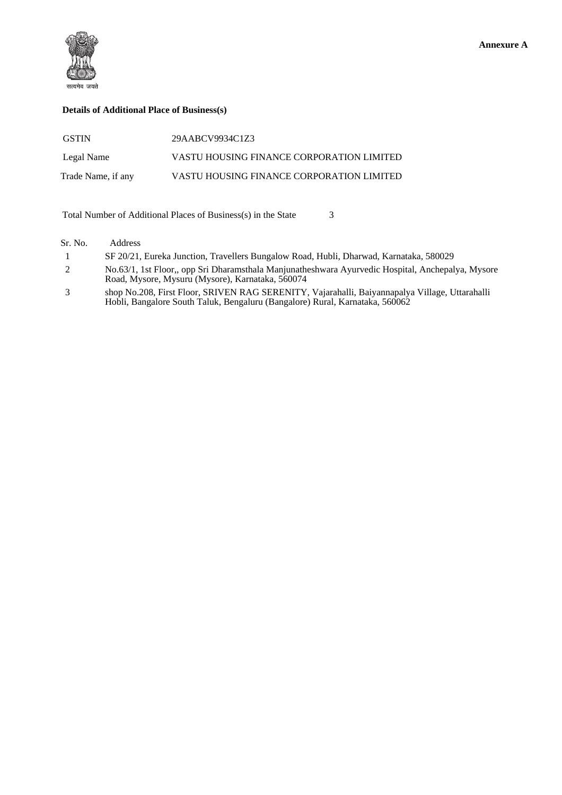

#### **Details of Additional Place of Business(s)**

| <b>GSTIN</b>       | 29AABCV9934C1Z3                           |
|--------------------|-------------------------------------------|
| Legal Name         | VASTU HOUSING FINANCE CORPORATION LIMITED |
| Trade Name, if any | VASTU HOUSING FINANCE CORPORATION LIMITED |

Total Number of Additional Places of Business(s) in the State 3

Sr. No. Address

- 1 SF 20/21, Eureka Junction, Travellers Bungalow Road, Hubli, Dharwad, Karnataka, 580029
- 2 No.63/1, 1st Floor,, opp Sri Dharamsthala Manjunatheshwara Ayurvedic Hospital, Anchepalya, Mysore Road, Mysore, Mysuru (Mysore), Karnataka, 560074
- 3 shop No.208, First Floor, SRIVEN RAG SERENITY, Vajarahalli, Baiyannapalya Village, Uttarahalli Hobli, Bangalore South Taluk, Bengaluru (Bangalore) Rural, Karnataka, 560062